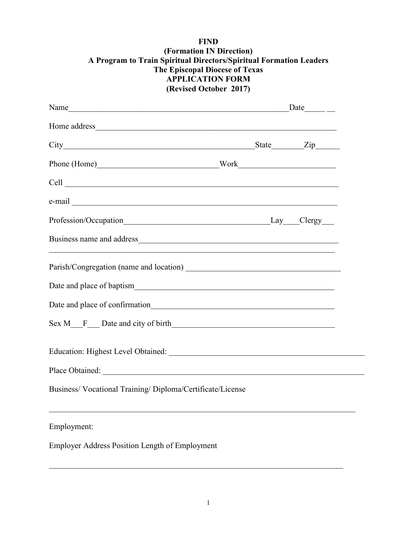## **FIND (Formation IN Direction) A Program to Train Spiritual Directors/Spiritual Formation Leaders The Episcopal Diocese of Texas APPLICATION FORM (Revised October 2017)**

| Name $Date$ $Date$ $D$                                     |  |  |
|------------------------------------------------------------|--|--|
|                                                            |  |  |
|                                                            |  |  |
| Phone (Home) Work Work                                     |  |  |
|                                                            |  |  |
|                                                            |  |  |
|                                                            |  |  |
|                                                            |  |  |
|                                                            |  |  |
|                                                            |  |  |
| Date and place of confirmation                             |  |  |
|                                                            |  |  |
| Education: Highest Level Obtained:                         |  |  |
|                                                            |  |  |
| Business/ Vocational Training/ Diploma/Certificate/License |  |  |
| Employment:                                                |  |  |
| Employer Address Position Length of Employment             |  |  |

 $\mathcal{L}_\text{G}$  , and the contribution of the contribution of the contribution of the contribution of the contribution of the contribution of the contribution of the contribution of the contribution of the contribution of t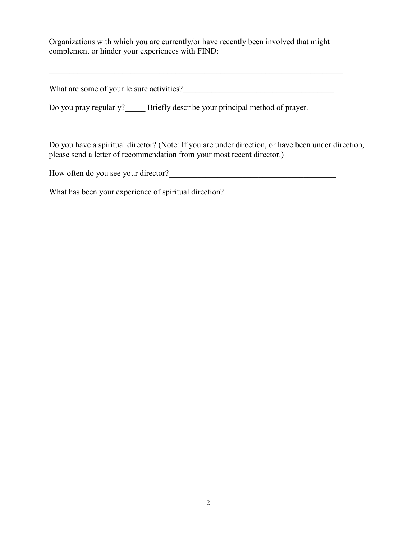Organizations with which you are currently/or have recently been involved that might complement or hinder your experiences with FIND:

 $\_$  , and the set of the set of the set of the set of the set of the set of the set of the set of the set of the set of the set of the set of the set of the set of the set of the set of the set of the set of the set of th

What are some of your leisure activities?\_\_\_\_\_\_\_\_\_\_\_\_\_\_\_\_\_\_\_\_\_\_\_\_\_\_\_\_\_\_\_\_\_\_\_\_\_

Do you pray regularly? Briefly describe your principal method of prayer.

Do you have a spiritual director? (Note: If you are under direction, or have been under direction, please send a letter of recommendation from your most recent director.)

How often do you see your director?\_\_\_\_\_\_\_\_\_\_\_\_\_\_\_\_\_\_\_\_\_\_\_\_\_\_\_\_\_\_\_\_\_\_\_\_\_\_\_\_\_

What has been your experience of spiritual direction?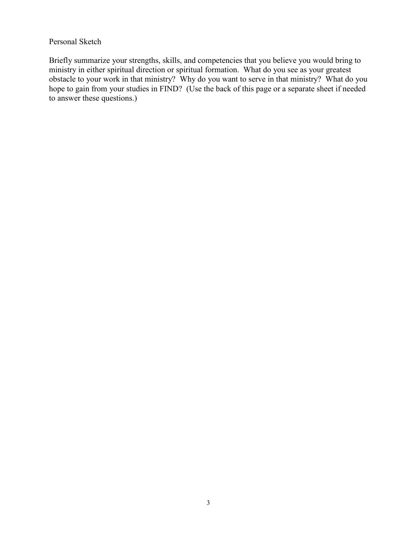#### Personal Sketch

Briefly summarize your strengths, skills, and competencies that you believe you would bring to ministry in either spiritual direction or spiritual formation. What do you see as your greatest obstacle to your work in that ministry? Why do you want to serve in that ministry? What do you hope to gain from your studies in FIND? (Use the back of this page or a separate sheet if needed to answer these questions.)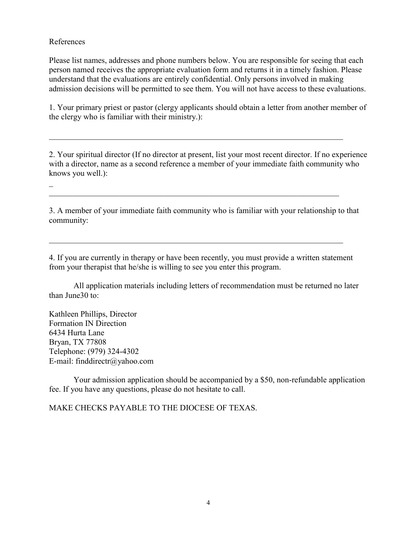#### References

Please list names, addresses and phone numbers below. You are responsible for seeing that each person named receives the appropriate evaluation form and returns it in a timely fashion. Please understand that the evaluations are entirely confidential. Only persons involved in making admission decisions will be permitted to see them. You will not have access to these evaluations.

1. Your primary priest or pastor (clergy applicants should obtain a letter from another member of the clergy who is familiar with their ministry.):

 $\mathcal{L}_\text{G}$  , and the contribution of the contribution of the contribution of the contribution of the contribution of the contribution of the contribution of the contribution of the contribution of the contribution of t

2. Your spiritual director (If no director at present, list your most recent director. If no experience with a director, name as a second reference a member of your immediate faith community who knows you well.):

 $\overline{\phantom{a}}$  $\mathcal{L}_\text{max} = \mathcal{L}_\text{max} = \mathcal{L}_\text{max} = \mathcal{L}_\text{max} = \mathcal{L}_\text{max} = \mathcal{L}_\text{max} = \mathcal{L}_\text{max} = \mathcal{L}_\text{max} = \mathcal{L}_\text{max} = \mathcal{L}_\text{max} = \mathcal{L}_\text{max} = \mathcal{L}_\text{max} = \mathcal{L}_\text{max} = \mathcal{L}_\text{max} = \mathcal{L}_\text{max} = \mathcal{L}_\text{max} = \mathcal{L}_\text{max} = \mathcal{L}_\text{max} = \mathcal{$ 

3. A member of your immediate faith community who is familiar with your relationship to that community:

4. If you are currently in therapy or have been recently, you must provide a written statement from your therapist that he/she is willing to see you enter this program.

 $\mathcal{L}_\mathcal{L} = \mathcal{L}_\mathcal{L} = \mathcal{L}_\mathcal{L} = \mathcal{L}_\mathcal{L} = \mathcal{L}_\mathcal{L} = \mathcal{L}_\mathcal{L} = \mathcal{L}_\mathcal{L} = \mathcal{L}_\mathcal{L} = \mathcal{L}_\mathcal{L} = \mathcal{L}_\mathcal{L} = \mathcal{L}_\mathcal{L} = \mathcal{L}_\mathcal{L} = \mathcal{L}_\mathcal{L} = \mathcal{L}_\mathcal{L} = \mathcal{L}_\mathcal{L} = \mathcal{L}_\mathcal{L} = \mathcal{L}_\mathcal{L}$ 

All application materials including letters of recommendation must be returned no later than June30 to:

Kathleen Phillips, Director Formation IN Direction 6434 Hurta Lane Bryan, TX 77808 Telephone: (979) 324-4302 E-mail: finddirectr@yahoo.com

Your admission application should be accompanied by a \$50, non-refundable application fee. If you have any questions, please do not hesitate to call.

MAKE CHECKS PAYABLE TO THE DIOCESE OF TEXAS.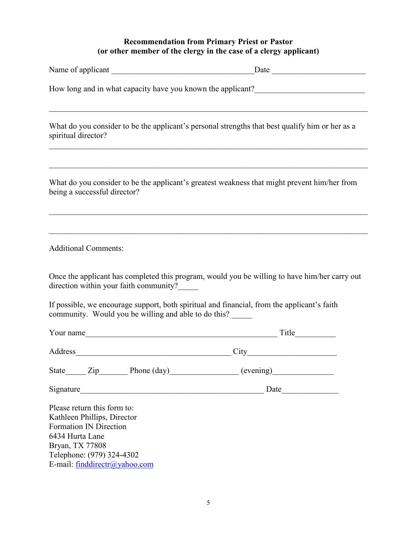## **Recommendation from Primary Priest or Pastor (or other member of the clergy in the case of a clergy applicant)**

| Name of applicant                                                                                                                                                                               | Date      |  |  |
|-------------------------------------------------------------------------------------------------------------------------------------------------------------------------------------------------|-----------|--|--|
| How long and in what capacity have you known the applicant?                                                                                                                                     |           |  |  |
| What do you consider to be the applicant's personal strengths that best qualify him or her as a<br>spiritual director?                                                                          |           |  |  |
| What do you consider to be the applicant's greatest weakness that might prevent him/her from<br>being a successful director?                                                                    |           |  |  |
| <b>Additional Comments:</b>                                                                                                                                                                     |           |  |  |
| Once the applicant has completed this program, would you be willing to have him/her carry out<br>direction within your faith community?                                                         |           |  |  |
| If possible, we encourage support, both spiritual and financial, from the applicant's faith<br>community. Would you be willing and able to do this?                                             |           |  |  |
|                                                                                                                                                                                                 |           |  |  |
|                                                                                                                                                                                                 | City City |  |  |
|                                                                                                                                                                                                 |           |  |  |
|                                                                                                                                                                                                 |           |  |  |
| Please return this form to:<br>Kathleen Phillips, Director<br><b>Formation IN Direction</b><br>6434 Hurta Lane<br>Bryan, TX 77808<br>Telephone: (979) 324-4302<br>E-mail: finddirectr@yahoo.com |           |  |  |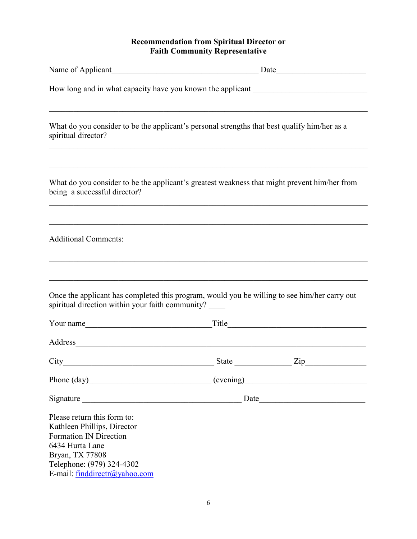### **Recommendation from Spiritual Director or Faith Community Representative**

| Name of Applicant<br><u>Name of Applicant</u>                                                                                                                                                   |              | Date                                                                                                                                                                                                                                |  |  |
|-------------------------------------------------------------------------------------------------------------------------------------------------------------------------------------------------|--------------|-------------------------------------------------------------------------------------------------------------------------------------------------------------------------------------------------------------------------------------|--|--|
| How long and in what capacity have you known the applicant ______________________                                                                                                               |              |                                                                                                                                                                                                                                     |  |  |
| What do you consider to be the applicant's personal strengths that best qualify him/her as a<br>spiritual director?                                                                             |              |                                                                                                                                                                                                                                     |  |  |
| What do you consider to be the applicant's greatest weakness that might prevent him/her from<br>being a successful director?                                                                    |              |                                                                                                                                                                                                                                     |  |  |
| <b>Additional Comments:</b>                                                                                                                                                                     |              |                                                                                                                                                                                                                                     |  |  |
| Once the applicant has completed this program, would you be willing to see him/her carry out<br>spiritual direction within your faith community?                                                |              |                                                                                                                                                                                                                                     |  |  |
| Your name                                                                                                                                                                                       |              | Title <b>The Community of the Community</b> of the Community of the Community of the Community of the Community of the Community of the Community of the Community of the Community of the Community of the Community of the Commun |  |  |
| Address                                                                                                                                                                                         |              |                                                                                                                                                                                                                                     |  |  |
| City                                                                                                                                                                                            | <b>State</b> | Zip                                                                                                                                                                                                                                 |  |  |
| Phone (day) (evening)                                                                                                                                                                           |              |                                                                                                                                                                                                                                     |  |  |
|                                                                                                                                                                                                 |              |                                                                                                                                                                                                                                     |  |  |
| Please return this form to:<br>Kathleen Phillips, Director<br><b>Formation IN Direction</b><br>6434 Hurta Lane<br>Bryan, TX 77808<br>Telephone: (979) 324-4302<br>E-mail: finddirectr@yahoo.com |              |                                                                                                                                                                                                                                     |  |  |